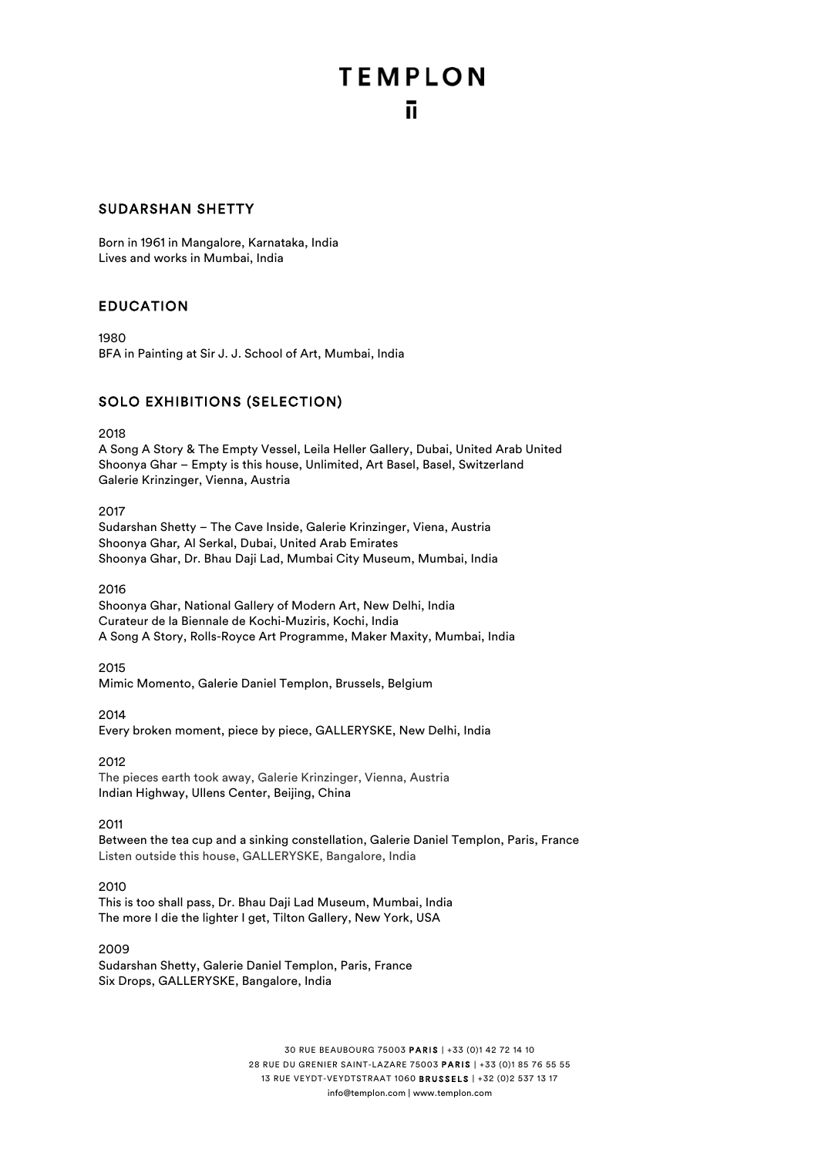# **TEMPLON** n.

#### SUDARSHAN SHETTY

Born in 1961 in Mangalore, Karnataka, India Lives and works in Mumbai, India

### EDUCATION

1980 BFA in Painting at Sir J. J. School of Art, Mumbai, India

### SOLO EXHIBITIONS (SELECTION)

2018

A Song A Story & The Empty Vessel, Leila Heller Gallery, Dubai, United Arab United Shoonya Ghar – Empty is this house, Unlimited, Art Basel, Basel, Switzerland Galerie Krinzinger, Vienna, Austria

#### 2017

Sudarshan Shetty – The Cave Inside, Galerie Krinzinger, Viena, Austria Shoonya Ghar*,* Al Serkal, Dubai, United Arab Emirates Shoonya Ghar, Dr. Bhau Daji Lad, Mumbai City Museum, Mumbai, India

2016

Shoonya Ghar, National Gallery of Modern Art, New Delhi, India Curateur de la Biennale de Kochi-Muziris, Kochi, India A Song A Story, Rolls-Royce Art Programme, Maker Maxity, Mumbai, India

2015

Mimic Momento, Galerie Daniel Templon, Brussels, Belgium

2014

Every broken moment, piece by piece, GALLERYSKE, New Delhi, India

2012

The pieces earth took away, Galerie Krinzinger, Vienna, Austria Indian Highway, Ullens Center, Beijing, China

2011

Between the tea cup and a sinking constellation, Galerie Daniel Templon, Paris, France Listen outside this house, GALLERYSKE, Bangalore, India

2010

This is too shall pass, Dr. Bhau Daji Lad Museum, Mumbai, India The more I die the lighter I get, Tilton Gallery, New York, USA

2009

Sudarshan Shetty, Galerie Daniel Templon, Paris, France Six Drops, GALLERYSKE, Bangalore, India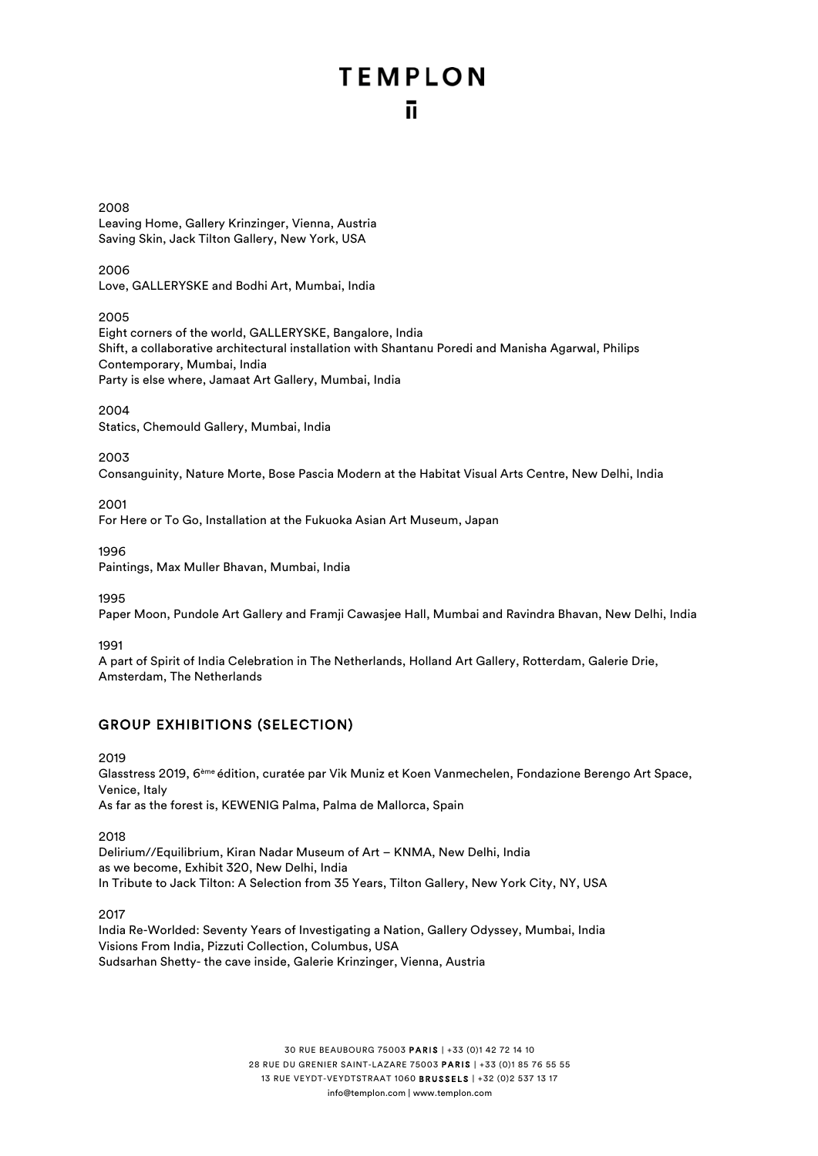# **TEMPLON** n.

2008 Leaving Home, Gallery Krinzinger, Vienna, Austria Saving Skin, Jack Tilton Gallery, New York, USA

2006 Love, GALLERYSKE and Bodhi Art, Mumbai, India

2005 Eight corners of the world, GALLERYSKE, Bangalore, India Shift, a collaborative architectural installation with Shantanu Poredi and Manisha Agarwal, Philips Contemporary, Mumbai, India Party is else where, Jamaat Art Gallery, Mumbai, India

2004 Statics, Chemould Gallery, Mumbai, India

2003

Consanguinity, Nature Morte, Bose Pascia Modern at the Habitat Visual Arts Centre, New Delhi, India

2001

For Here or To Go, Installation at the Fukuoka Asian Art Museum, Japan

1996

Paintings, Max Muller Bhavan, Mumbai, India

1995

Paper Moon, Pundole Art Gallery and Framji Cawasjee Hall, Mumbai and Ravindra Bhavan, New Delhi, India

1991

A part of Spirit of India Celebration in The Netherlands, Holland Art Gallery, Rotterdam, Galerie Drie, Amsterdam, The Netherlands

### GROUP EXHIBITIONS (SELECTION)

2019

Glasstress 2019, 6ème édition, curatée par Vik Muniz et Koen Vanmechelen, Fondazione Berengo Art Space, Venice, Italy

As far as the forest is, KEWENIG Palma, Palma de Mallorca, Spain

2018

Delirium//Equilibrium, Kiran Nadar Museum of Art – KNMA, New Delhi, India as we become, Exhibit 320, New Delhi, India In Tribute to Jack Tilton: A Selection from 35 Years, Tilton Gallery, New York City, NY, USA

2017

India Re-Worlded: Seventy Years of Investigating a Nation, Gallery Odyssey, Mumbai, India Visions From India, Pizzuti Collection, Columbus, USA Sudsarhan Shetty- the cave inside, Galerie Krinzinger, Vienna, Austria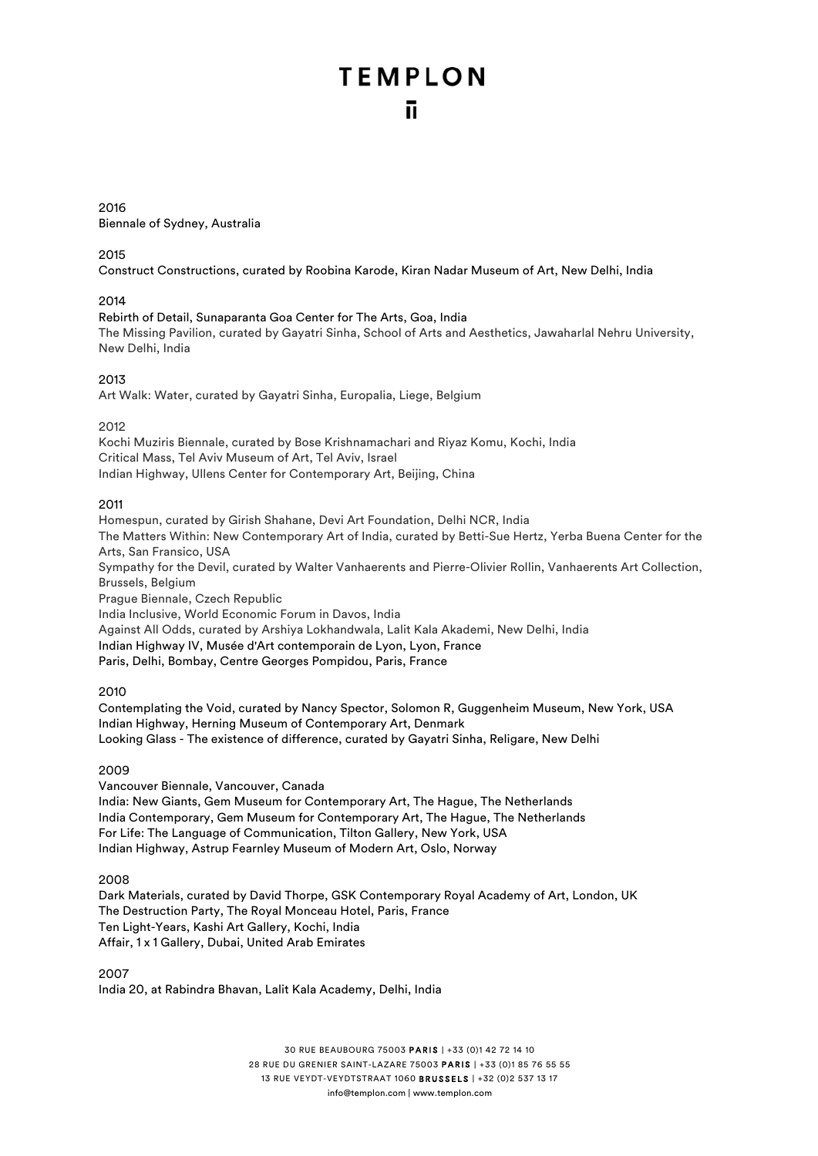# **TEMPLON** ū.

#### 2016 Biennale of Sydney, Australia

#### 2015

Construct Constructions, curated by Roobina Karode, Kiran Nadar Museum of Art, New Delhi, India

### 2014

#### Rebirth of Detail, Sunaparanta Goa Center for The Arts, Goa, India

The Missing Pavilion, curated by Gayatri Sinha, School of Arts and Aesthetics, Jawaharlal Nehru University, New Delhi, India

#### 2013

Art Walk: Water, curated by Gayatri Sinha, Europalia, Liege, Belgium

#### 2012

Kochi Muziris Biennale, curated by Bose Krishnamachari and Riyaz Komu, Kochi, India Critical Mass, Tel Aviv Museum of Art, Tel Aviv, Israel Indian Highway, Ullens Center for Contemporary Art, Beijing, China

#### 2011

Homespun, curated by Girish Shahane, Devi Art Foundation, Delhi NCR, India The Matters Within: New Contemporary Art of India, curated by Betti-Sue Hertz, Yerba Buena Center for the Arts, San Fransico, USA Sympathy for the Devil, curated by Walter Vanhaerents and Pierre-Olivier Rollin, Vanhaerents Art Collection, Brussels, Belgium Prague Biennale, Czech Republic India Inclusive, World Economic Forum in Davos, India Against All Odds, curated by Arshiya Lokhandwala, Lalit Kala Akademi, New Delhi, India Indian Highway IV, Musée d'Art contemporain de Lyon, Lyon, France Paris, Delhi, Bombay, Centre Georges Pompidou, Paris, France

Contemplating the Void, curated by Nancy Spector, Solomon R, Guggenheim Museum, New York, USA Indian Highway, Herning Museum of Contemporary Art, Denmark Looking Glass - The existence of difference, curated by Gayatri Sinha, Religare, New Delhi

#### 2009

2010

Vancouver Biennale, Vancouver, Canada India: New Giants, Gem Museum for Contemporary Art, The Hague, The Netherlands India Contemporary, Gem Museum for Contemporary Art, The Hague, The Netherlands For Life: The Language of Communication, Tilton Gallery, New York, USA Indian Highway, Astrup Fearnley Museum of Modern Art, Oslo, Norway

#### 2008

Dark Materials, curated by David Thorpe, GSK Contemporary Royal Academy of Art, London, UK The Destruction Party, The Royal Monceau Hotel, Paris, France Ten Light-Years, Kashi Art Gallery, Kochi, India Affair, 1 x 1 Gallery, Dubai, United Arab Emirates

2007 India 20, at Rabindra Bhavan, Lalit Kala Academy, Delhi, India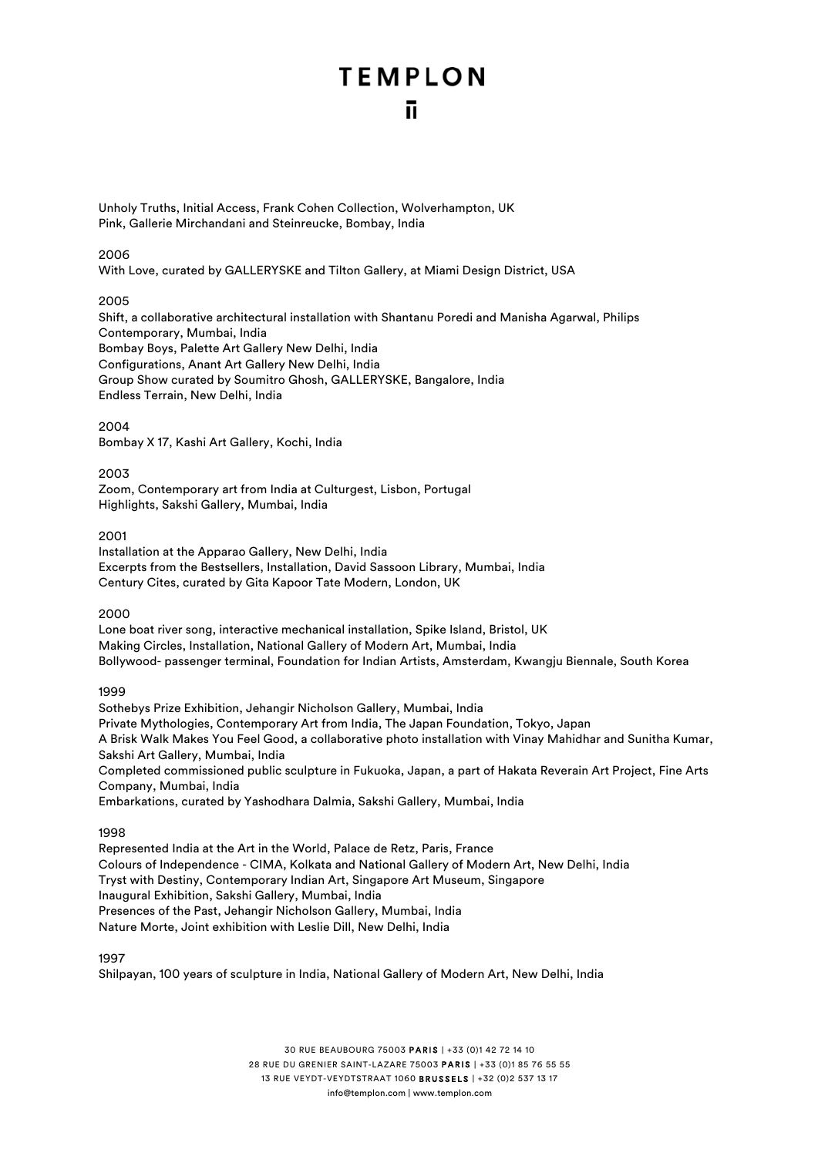### **TEMPLON** ū.

Unholy Truths, Initial Access, Frank Cohen Collection, Wolverhampton, UK Pink, Gallerie Mirchandani and Steinreucke, Bombay, India

#### 2006

With Love, curated by GALLERYSKE and Tilton Gallery, at Miami Design District, USA

#### 2005

Shift, a collaborative architectural installation with Shantanu Poredi and Manisha Agarwal, Philips Contemporary, Mumbai, India Bombay Boys, Palette Art Gallery New Delhi, India Configurations, Anant Art Gallery New Delhi, India Group Show curated by Soumitro Ghosh, GALLERYSKE, Bangalore, India Endless Terrain, New Delhi, India

2004

Bombay X 17, Kashi Art Gallery, Kochi, India

2003

Zoom, Contemporary art from India at Culturgest, Lisbon, Portugal Highlights, Sakshi Gallery, Mumbai, India

2001

Installation at the Apparao Gallery, New Delhi, India Excerpts from the Bestsellers, Installation, David Sassoon Library, Mumbai, India Century Cites, curated by Gita Kapoor Tate Modern, London, UK

2000

Lone boat river song, interactive mechanical installation, Spike Island, Bristol, UK Making Circles, Installation, National Gallery of Modern Art, Mumbai, India Bollywood- passenger terminal, Foundation for Indian Artists, Amsterdam, Kwangju Biennale, South Korea

1999

Sothebys Prize Exhibition, Jehangir Nicholson Gallery, Mumbai, India Private Mythologies, Contemporary Art from India, The Japan Foundation, Tokyo, Japan A Brisk Walk Makes You Feel Good, a collaborative photo installation with Vinay Mahidhar and Sunitha Kumar, Sakshi Art Gallery, Mumbai, India Completed commissioned public sculpture in Fukuoka, Japan, a part of Hakata Reverain Art Project, Fine Arts Company, Mumbai, India Embarkations, curated by Yashodhara Dalmia, Sakshi Gallery, Mumbai, India

1998

Represented India at the Art in the World, Palace de Retz, Paris, France Colours of Independence - CIMA, Kolkata and National Gallery of Modern Art, New Delhi, India Tryst with Destiny, Contemporary Indian Art, Singapore Art Museum, Singapore Inaugural Exhibition, Sakshi Gallery, Mumbai, India Presences of the Past, Jehangir Nicholson Gallery, Mumbai, India Nature Morte, Joint exhibition with Leslie Dill, New Delhi, India

1997

Shilpayan, 100 years of sculpture in India, National Gallery of Modern Art, New Delhi, India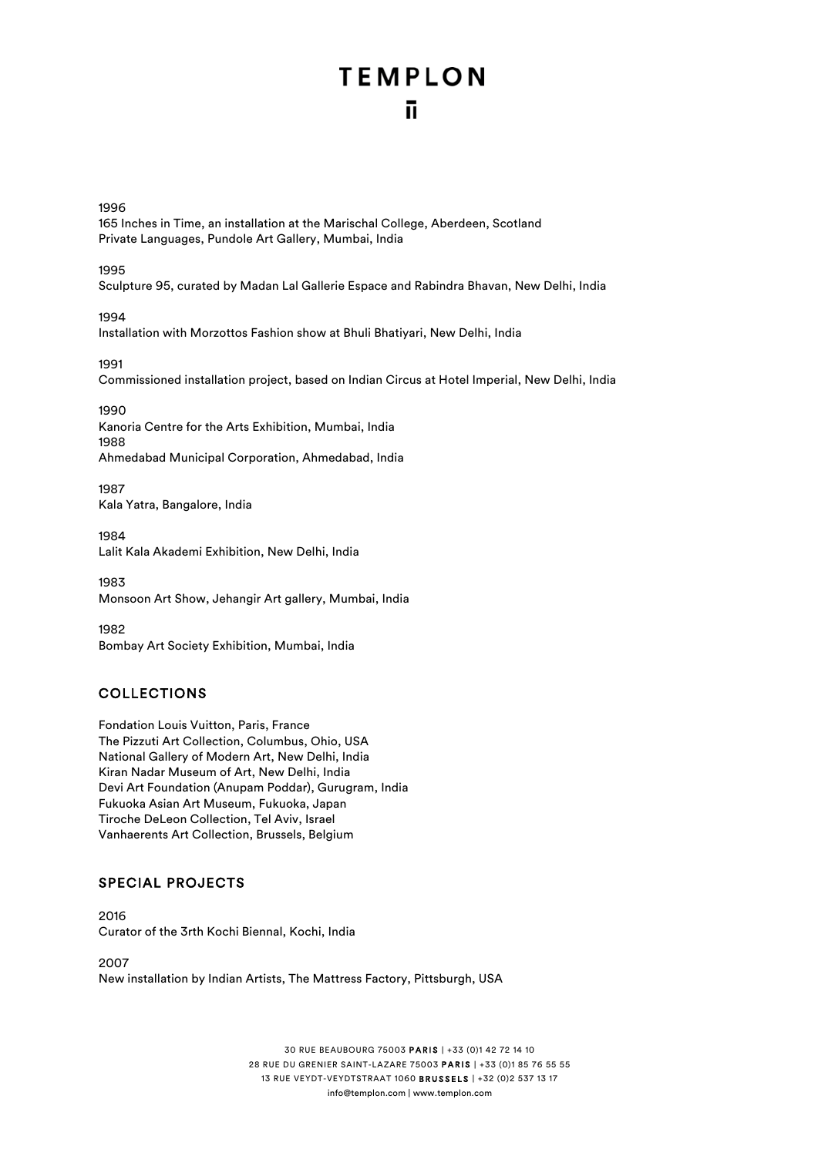# **TEMPLON** ñ.

1996

165 Inches in Time, an installation at the Marischal College, Aberdeen, Scotland Private Languages, Pundole Art Gallery, Mumbai, India

1995

Sculpture 95, curated by Madan Lal Gallerie Espace and Rabindra Bhavan, New Delhi, India

1994 Installation with Morzottos Fashion show at Bhuli Bhatiyari, New Delhi, India

1991 Commissioned installation project, based on Indian Circus at Hotel Imperial, New Delhi, India

1990 Kanoria Centre for the Arts Exhibition, Mumbai, India 1988 Ahmedabad Municipal Corporation, Ahmedabad, India

1987 Kala Yatra, Bangalore, India

1984 Lalit Kala Akademi Exhibition, New Delhi, India

1983 Monsoon Art Show, Jehangir Art gallery, Mumbai, India

1982 Bombay Art Society Exhibition, Mumbai, India

### COLLECTIONS

Fondation Louis Vuitton, Paris, France The Pizzuti Art Collection, Columbus, Ohio, USA National Gallery of Modern Art, New Delhi, India Kiran Nadar Museum of Art, New Delhi, India Devi Art Foundation (Anupam Poddar), Gurugram, India Fukuoka Asian Art Museum, Fukuoka, Japan Tiroche DeLeon Collection, Tel Aviv, Israel Vanhaerents Art Collection, Brussels, Belgium

### SPECIAL PROJECTS

2016 Curator of the 3rth Kochi Biennal, Kochi, India

2007 New installation by Indian Artists, The Mattress Factory, Pittsburgh, USA